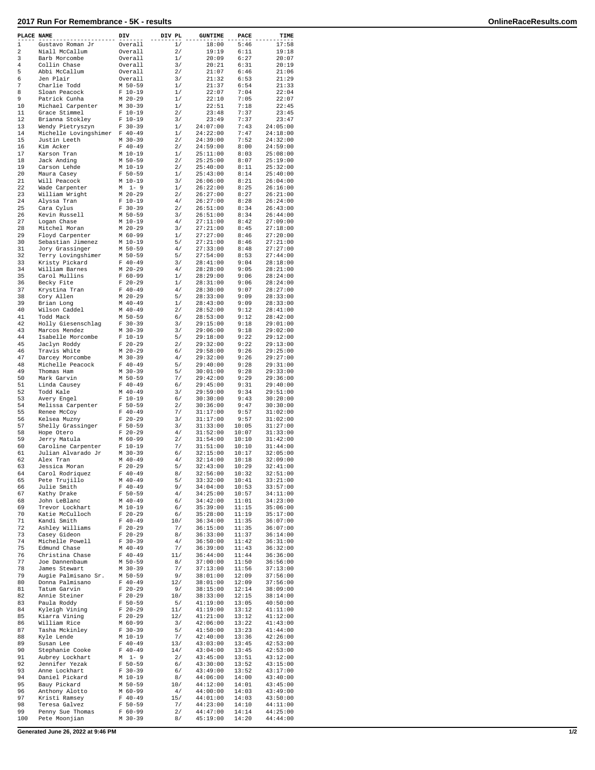| PLACE NAME  |                               | DIV                    | DIV PL | <b>GUNTIME</b> | PACE  | TIME                 |
|-------------|-------------------------------|------------------------|--------|----------------|-------|----------------------|
| $\mathbf 1$ | Gustavo Roman Jr              | Overall                | 1/     | 18:00          | 5:46  | 17:58                |
| 2           | Niall McCallum                | Overall                | 2/     | 19:19          | 6:11  | 19:18                |
| 3           | Barb Morcombe                 | Overall                | 1/     | 20:09          | 6:27  | 20:07                |
| 4           | Collin Chase                  | Overall                | 3/     | 20:21          | 6:31  | 20:19                |
| 5           | Abbi McCallum                 | Overall                | 2/     | 21:07          | 6:46  | 21:06                |
| 6           | Jen Plair                     | Overall                | 3/     | 21:32          | 6:53  | 21:29                |
| 7           | Charlie Todd                  | M 50-59                | 1/     | 21:37          | 6:54  | 21:33                |
| 8           | Sloan Peacock                 | $F 10-19$              | 1/     | 22:07          | 7:04  | 22:04                |
| 9           | Patrick Cunha                 | $M$ 20-29              | 1/     | 22:10          | 7:05  | 22:07                |
| 10          | Michael Carpenter             | M 30-39                | 1/     | 22:51          | 7:18  | 22:45                |
| 11          | Grace Stimmel                 | $F 10-19$              | 2/     | 23:48          | 7:37  | 23:45                |
| 12          | Brianna Stokley               | $F 10-19$              | 3/     | 23:49          | 7:37  | 23:47                |
| 13          | Wendy Pietryszyn              | $F 30-39$              | 1/     | 24:07:00       | 7:43  | 24:05:00             |
| 14          | Michelle Lovingshimer F 40-49 |                        | 1/     | 24:22:00       | 7:47  | 24:18:00             |
| 15          | Justin Leeth                  | M 30-39                | 2/     | 24:39:00       | 7:52  | 24:32:00             |
| 16          | Kim Acker                     | $F 40-49$              | 2/     | 24:59:00       | 8:00  | 24:59:00             |
| 17          | Karson Tran                   | $M$ 10-19              | 1/     | 25:11:00       | 8:03  | 25:08:00             |
| 18          | Jack Anding                   | M 50-59                | 2/     | 25:25:00       | 8:07  | 25:19:00             |
|             |                               |                        |        |                |       |                      |
| 19          | Carson Lehde                  | M 10-19                | 2/     | 25:40:00       | 8:11  | 25:32:00             |
| 20          | Maura Casey                   | $F 50 - 59$            | 1/     | 25:43:00       | 8:14  | 25:40:00             |
| 21          | Will Peacock                  | M 10-19                | 3/     | 26:06:00       | 8:21  | 26:04:00             |
| 22          | Wade Carpenter                | М<br>$1 - 9$           | 1/     | 26:22:00       | 8:25  | 26:16:00             |
| 23          | William Wright                | M 20-29                | 2/     | 26:27:00       | 8:27  | 26:21:00             |
| 24          | Alyssa Tran                   | $F 10-19$              | 4/     | 26:27:00       | 8:28  | 26:24:00             |
| 25          | Cara Cylus                    | $F$ 30-39              | 2/     | 26:51:00       | 8:34  | 26:43:00             |
| 26          | Kevin Russell                 | M 50-59                | 3/     | 26:51:00       | 8:34  | 26:44:00             |
| 27          | Logan Chase                   | M 10-19                | 4/     | 27:11:00       | 8:42  | 27:09:00             |
| 28          | Mitchel Moran                 | $M$ 20-29              | 3/     | 27:21:00       | 8:45  | 27:18:00             |
| 29          | Floyd Carpenter               | M 60-99                | 1/     | 27:27:00       | 8:46  | 27:20:00             |
| 30          | Sebastian Jimenez             | M 10-19                | 5/     | 27:21:00       | 8:46  | 27:21:00             |
| 31          | Jory Grassinger               | M 50-59                | 4/     | 27:33:00       | 8:48  | 27:27:00             |
| 32          | Terry Lovingshimer            | M 50-59                | 5/     | 27:54:00       | 8:53  | 27:44:00             |
| 33          | Kristy Pickard                | $F 40-49$              | 3/     | 28:41:00       | 9:04  | 28:18:00             |
| 34          | William Barnes                | $M$ 20-29              | 4/     | 28:28:00       | 9:05  | 28:21:00             |
| 35          | Carol Mullins                 | $F 60 - 99$            | 1/     | 28:29:00       | 9:06  | 28:24:00             |
| 36          | Becky Fite                    | $F$ 20-29              | 1/     | 28:31:00       | 9:06  | 28:24:00             |
| 37          |                               |                        |        | 28:30:00       |       |                      |
|             | Krystina Tran                 | $F 40-49$              | 4/     |                | 9:07  | 28:27:00             |
| 38          | Cory Allen                    | $M$ 20-29              | 5/     | 28:33:00       | 9:09  | 28:33:00             |
| 39          | Brian Long                    | $M$ 40-49              | 1/     | 28:43:00       | 9:09  | 28:33:00             |
| 40          | Wilson Caddel                 | $M$ 40-49              | 2/     | 28:52:00       | 9:12  | 28:41:00             |
| 41          | Todd Mack                     | M 50-59                | 6/     | 28:53:00       | 9:12  | 28:42:00             |
| 42          | Holly Giesenschlag            | $F$ 30-39              | 3/     | 29:15:00       | 9:18  | 29:01:00             |
| 43          | Marcos Mendez                 | $M$ 30-39              | 3/     | 29:06:00       | 9:18  | 29:02:00             |
| 44          | Isabelle Morcombe             | $F 10-19$              | 5/     | 29:18:00       | 9:22  | 29:12:00             |
| 45          | Jaclyn Roddy                  | $F$ 20-29              | 2/     | 29:32:00       | 9:22  | 29:13:00             |
| 46          | Travis White                  | $M$ 20-29              | 6/     | 29:58:00       | 9:26  | 29:25:00             |
| 47          | Darcey Morcombe               | M 30-39                | 4/     | 29:32:00       | 9:26  | 29:27:00             |
| 48          | Michelle Peacock              | $F 40-49$              | 5/     | 29:40:00       | 9:28  | 29:31:00             |
| 49          | Thomas Ham                    | $M$ 30-39              | 5/     | 30:01:00       | 9:28  | 29:33:00             |
| 50          | Mark Garvin                   | $M$ 50-59              | 7/     | 29:42:00       | 9:29  | 29:36:00             |
| 51          | Linda Causey                  | $F 40-49$              | 6/     | 29:45:00       | 9:31  | 29:40:00             |
| 52          | Todd Kale                     | $M$ 40-49              | 3/     | 29:59:00       | 9:34  | 29:51:00             |
| 53          | Avery Engel                   | $F 10-19$              | 6/     | 30:30:00       | 9:43  | 30:20:00             |
| 54          | Melissa Carpenter             | $F 50-59$              | 2/     | 30:36:00       | 9:47  | 30:30:00             |
| 55          | Renee McCoy                   | $F 40 - 49$            | 7/     | 31:17:00       | 9:57  | 31:02:00             |
| 56          |                               |                        |        | 31:17:00       |       |                      |
| 57          | Kelsea Muzny                  | $F$ 20-29<br>$F 50-59$ | 3/     | 31:33:00       | 9:57  | 31:02:00<br>31:27:00 |
|             | Shelly Grassinger             |                        | 3/     |                | 10:05 | 31:33:00             |
| 58          | Hope Otero                    | $F$ 20-29              | 4/     | 31:52:00       | 10:07 |                      |
| 59          | Jerry Matula                  | M 60-99                | 2/     | 31:54:00       | 10:10 | 31:42:00             |
| 60          | Caroline Carpenter            | $F 10-19$              | 7/     | 31:51:00       | 10:10 | 31:44:00             |
| 61          | Julian Alvarado Jr            | $M$ 30-39              | 6/     | 32:15:00       | 10:17 | 32:05:00             |
| 62          | Alex Tran                     | $M$ 40-49              | 4/     | 32:14:00       | 10:18 | 32:09:00             |
| 63          | Jessica Moran                 | $F$ 20-29              | 5/     | 32:43:00       | 10:29 | 32:41:00             |
| 64          | Carol Rodriquez               | $F 40 - 49$            | 8/     | 32:56:00       | 10:32 | 32:51:00             |
| 65          | Pete Trujillo                 | $M$ 40-49              | 5/     | 33:32:00       | 10:41 | 33:21:00             |
| 66          | Julie Smith                   | $F 40-49$              | 9/     | 34:04:00       | 10:53 | 33:57:00             |
| 67          | Kathy Drake                   | $F 50 - 59$            | 4/     | 34:25:00       | 10:57 | 34:11:00             |
| 68          | John LeBlanc                  | $M$ 40-49              | 6/     | 34:42:00       | 11:01 | 34:23:00             |
| 69          | Trevor Lockhart               | M 10-19                | 6/     | 35:39:00       | 11:15 | 35:06:00             |
| 70          | Katie McCulloch               | $F$ 20-29              | 6/     | 35:28:00       | 11:19 | 35:17:00             |
| 71          | Kandi Smith                   | $F 40-49$              | 10/    | 36:34:00       | 11:35 | 36:07:00             |
| 72          | Ashley Williams               | $F 20-29$              | 7/     | 36:15:00       | 11:35 | 36:07:00             |
| 73          | Casey Gideon                  | $F 20-29$              | 8/     | 36:33:00       | 11:37 | 36:14:00             |
| 74          | Michelle Powell               | $F 30-39$              | 4/     | 36:50:00       | 11:42 | 36:31:00             |
| 75          | Edmund Chase                  | $M$ 40-49              | 7/     | 36:39:00       | 11:43 | 36:32:00             |
| 76          | Christina Chase               | $F 40-49$              | 11/    | 36:44:00       | 11:44 | 36:36:00             |
| 77          | Joe Dannenbaum                | M 50-59                | 8/     | 37:00:00       | 11:50 | 36:56:00             |
| 78          | James Stewart                 | $M$ 30-39              | 7/     | 37:13:00       | 11:56 | 37:13:00             |
| 79          | Augie Palmisano Sr.           | M 50-59                | 9/     | 38:01:00       | 12:09 | 37:56:00             |
| 80          | Donna Palmisano               | $F 40-49$              | 12/    | 38:01:00       | 12:09 | 37:56:00             |
| 81          | Tatum Garvin                  | $F 20-29$              | 9/     | 38:15:00       | 12:14 | 38:09:00             |
| 82          | Annie Steiner                 | $F$ 20-29              | 10/    | 38:33:00       | 12:15 | 38:14:00             |
| 83          | Paula Roddy                   | $F 50 - 59$            | 5/     | 41:19:00       | 13:05 | 40:50:00             |
| 84          |                               | $F 20-29$              | 11/    | 41:19:00       | 13:12 | 41:11:00             |
|             | Kyleigh Vining                |                        |        |                |       |                      |
| 85          | Kiarra Vining                 | $F$ 20-29              | 12/    | 41:21:00       | 13:12 | 41:12:00             |
| 86          | William Rice                  | M 60-99                | 3/     | 42:06:00       | 13:22 | 41:43:00             |
| 87          | Tasha Mckinley                | $F 30-39$              | 5/     | 41:50:00       | 13:23 | 41:44:00             |
| 88          | Kyle Lende                    | M 10-19                | 7/     | 42:40:00       | 13:36 | 42:26:00             |
| 89          | Susan Lee                     | $F 40-49$              | 13/    | 43:03:00       | 13:45 | 42:53:00             |
| 90          | Stephanie Cooke               | $F 40-49$              | 14/    | 43:04:00       | 13:45 | 42:53:00             |
| 91          | Aubrey Lockhart               | $1 - 9$<br>М           | 2/     | 43:45:00       | 13:51 | 43:12:00             |
| 92          | Jennifer Yezak                | $F 50-59$              | 6/     | 43:30:00       | 13:52 | 43:15:00             |
| 93          | Anne Lockhart                 | $F 30-39$              | 6/     | 43:49:00       | 13:52 | 43:17:00             |
| 94          | Daniel Pickard                | M 10-19                | 8/     | 44:06:00       | 14:00 | 43:40:00             |
| 95          | Bauy Pickard                  | M 50-59                | 10/    | 44:12:00       | 14:01 | 43:45:00             |
| 96          | Anthony Alotto                | M 60-99                | 4/     | 44:00:00       | 14:03 | 43:49:00             |
| 97          | Kristi Ramsey                 | $F 40-49$              | 15/    | 44:01:00       | 14:03 | 43:50:00             |
| 98          | Teresa Galvez                 | $F 50-59$              | 7/     | 44:23:00       | 14:10 | 44:11:00             |
| 99          | Penny Sue Thomas              | $F 60 - 99$            | 2/     | 44:47:00       | 14:14 | 44:25:00             |
| 100         | Pete Moonjian                 | M 30-39                | 8/     | 45:19:00       | 14:20 | 44:44:00             |
|             |                               |                        |        |                |       |                      |

**Generated June 26, 2022 at 9:46 PM 1/2**